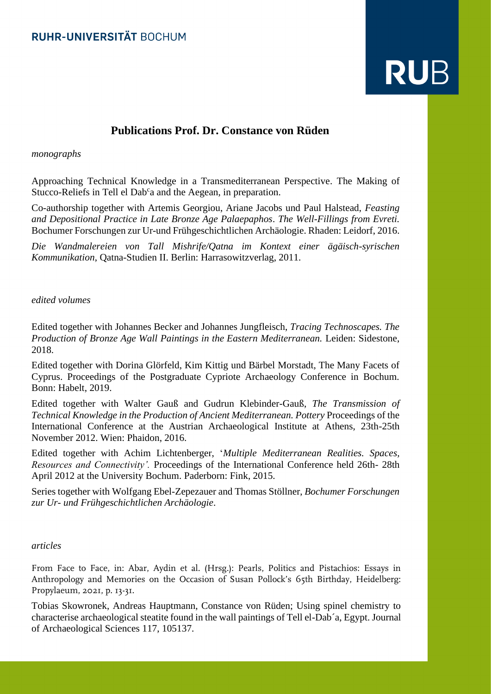# **RUB**

# **Publications Prof. Dr. Constance von Rüden**

## *monographs*

Approaching Technical Knowledge in a Transmediterranean Perspective. The Making of Stucco-Reliefs in Tell el Dab<sup>c</sup>a and the Aegean, in preparation.

Co-authorship together with Artemis Georgiou, Ariane Jacobs und Paul Halstead, *Feasting and Depositional Practice in Late Bronze Age Palaepaphos*. *The Well-Fillings from Evreti.*  Bochumer Forschungen zur Ur-und Frühgeschichtlichen Archäologie. Rhaden: Leidorf, 2016.

*Die Wandmalereien von Tall Mishrife/Qatna im Kontext einer ägäisch-syrischen Kommunikation*, Qatna-Studien II. Berlin: Harrasowitzverlag, 2011.

### *edited volumes*

Edited together with Johannes Becker and Johannes Jungfleisch, *Tracing Technoscapes. The Production of Bronze Age Wall Paintings in the Eastern Mediterranean.* Leiden: Sidestone, 2018.

Edited together with Dorina Glörfeld, Kim Kittig und Bärbel Morstadt, The Many Facets of Cyprus. Proceedings of the Postgraduate Cypriote Archaeology Conference in Bochum. Bonn: Habelt, 2019.

Edited together with Walter Gauß and Gudrun Klebinder-Gauß, *The Transmission of Technical Knowledge in the Production of Ancient Mediterranean. Pottery* Proceedings of the International Conference at the Austrian Archaeological Institute at Athens, 23th-25th November 2012. Wien: Phaidon, 2016.

Edited together with Achim Lichtenberger, '*Multiple Mediterranean Realities. Spaces, Resources and Connectivity'.* Proceedings of the International Conference held 26th- 28th April 2012 at the University Bochum. Paderborn: Fink, 2015.

Series together with Wolfgang Ebel-Zepezauer and Thomas Stöllner, *Bochumer Forschungen zur Ur- und Frühgeschichtlichen Archäologie*.

#### *articles*

From Face to Face, in: Abar, Aydin et al. (Hrsg.): Pearls, Politics and Pistachios: Essays in Anthropology and Memories on the Occasion of Susan Pollock's 65th Birthday, Heidelberg: Propylaeum, 2021, p. 13-31.

Tobias Skowronek, Andreas Hauptmann, Constance von Rüden; Using spinel chemistry to characterise archaeological steatite found in the wall paintings of Tell el-Dab´a, Egypt. Journal of Archaeological Sciences 117, 105137.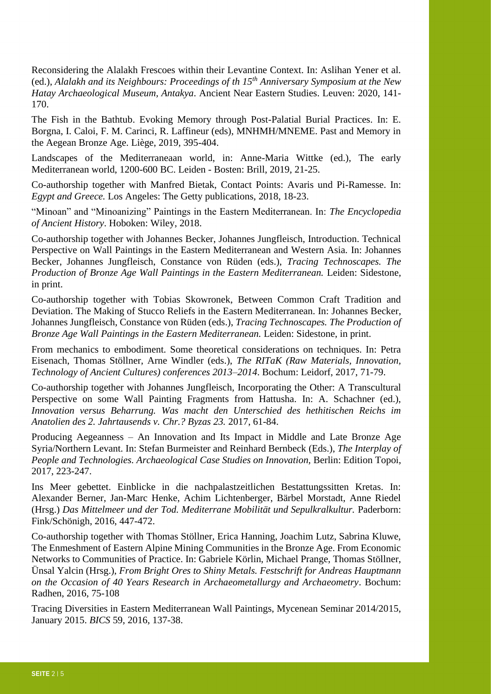Reconsidering the Alalakh Frescoes within their Levantine Context. In: Aslihan Yener et al. (ed.), *Alalakh and its Neighbours: Proceedings of th 15th Anniversary Symposium at the New Hatay Archaeological Museum, Antakya*. Ancient Near Eastern Studies. Leuven: 2020, 141- 170.

The Fish in the Bathtub. Evoking Memory through Post-Palatial Burial Practices. In: E. Borgna, I. Caloi, F. M. Carinci, R. Laffineur (eds), MNHMH/MNEME. Past and Memory in the Aegean Bronze Age. Liège, 2019, 395-404.

Landscapes of the Mediterraneaan world, in: Anne-Maria Wittke (ed.), The early Mediterranean world, 1200-600 BC. Leiden - Bosten: Brill, 2019, 21-25.

Co-authorship together with Manfred Bietak, Contact Points: Avaris und Pi-Ramesse. In: *Egypt and Greece.* Los Angeles: The Getty publications, 2018, 18-23.

"Minoan" and "Minoanizing" Paintings in the Eastern Mediterranean. In: *The Encyclopedia of Ancient History*. Hoboken: Wiley, 2018.

Co-authorship together with Johannes Becker, Johannes Jungfleisch, Introduction. Technical Perspective on Wall Paintings in the Eastern Mediterranean and Western Asia. In: Johannes Becker, Johannes Jungfleisch, Constance von Rüden (eds.), *Tracing Technoscapes. The Production of Bronze Age Wall Paintings in the Eastern Mediterranean.* Leiden: Sidestone, in print.

Co-authorship together with Tobias Skowronek, Between Common Craft Tradition and Deviation. The Making of Stucco Reliefs in the Eastern Mediterranean. In: Johannes Becker, Johannes Jungfleisch, Constance von Rüden (eds.), *Tracing Technoscapes. The Production of Bronze Age Wall Paintings in the Eastern Mediterranean.* Leiden: Sidestone, in print.

From mechanics to embodiment. Some theoretical considerations on techniques. In: Petra Eisenach, Thomas Stöllner, Arne Windler (eds.), *The RITaK (Raw Materials, Innovation, Technology of Ancient Cultures) conferences 2013–2014*. Bochum: Leidorf, 2017, 71-79.

Co-authorship together with Johannes Jungfleisch, Incorporating the Other: A Transcultural Perspective on some Wall Painting Fragments from Hattusha. In: A. Schachner (ed.), *Innovation versus Beharrung. Was macht den Unterschied des hethitischen Reichs im Anatolien des 2. Jahrtausends v. Chr.? Byzas 23.* 2017, 61-84.

Producing Aegeanness – An Innovation and Its Impact in Middle and Late Bronze Age Syria/Northern Levant. In: Stefan Burmeister and Reinhard Bernbeck (Eds.), *The Interplay of People and Technologies. Archaeological Case Studies on Innovation,* Berlin: Edition Topoi, 2017, 223-247.

Ins Meer gebettet. Einblicke in die nachpalastzeitlichen Bestattungssitten Kretas. In: Alexander Berner, Jan-Marc Henke, Achim Lichtenberger, Bärbel Morstadt, Anne Riedel (Hrsg.) *Das Mittelmeer und der Tod. Mediterrane Mobilität und Sepulkralkultur.* Paderborn: Fink/Schönigh, 2016, 447-472.

Co-authorship together with Thomas Stöllner, Erica Hanning, Joachim Lutz, Sabrina Kluwe, The Enmeshment of Eastern Alpine Mining Communities in the Bronze Age. From Economic Networks to Communities of Practice. In: Gabriele Körlin, Michael Prange, Thomas Stöllner, Ünsal Yalcin (Hrsg.), *From Bright Ores to Shiny Metals. Festschrift for Andreas Hauptmann on the Occasion of 40 Years Research in Archaeometallurgy and Archaeometry*. Bochum: Radhen, 2016, 75-108

Tracing Diversities in Eastern Mediterranean Wall Paintings, Mycenean Seminar 2014/2015, January 2015. *BICS* 59, 2016, 137-38.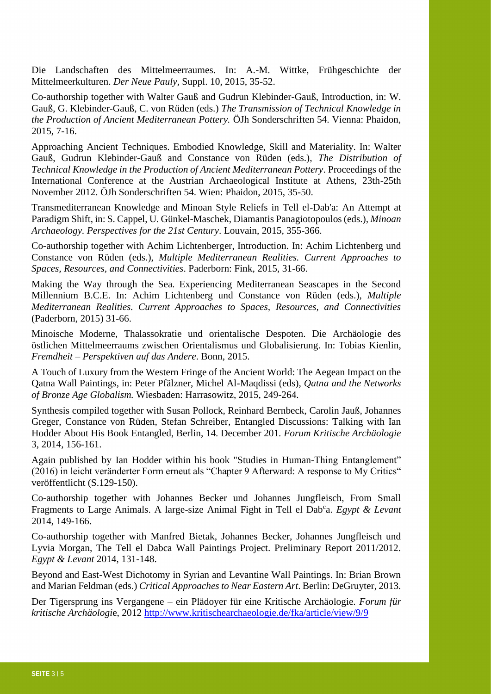Die Landschaften des Mittelmeerraumes. In: A.-M. Wittke, Frühgeschichte der Mittelmeerkulturen. *Der Neue Pauly,* Suppl. 10, 2015, 35-52.

Co-authorship together with Walter Gauß and Gudrun Klebinder-Gauß, Introduction, in: W. Gauß, G. Klebinder-Gauß, C. von Rüden (eds.) *The Transmission of Technical Knowledge in the Production of Ancient Mediterranean Pottery.* ÖJh Sonderschriften 54. Vienna: Phaidon, 2015, 7-16.

Approaching Ancient Techniques. Embodied Knowledge, Skill and Materiality. In: Walter Gauß, Gudrun Klebinder-Gauß and Constance von Rüden (eds.), *The Distribution of Technical Knowledge in the Production of Ancient Mediterranean Pottery*. Proceedings of the International Conference at the Austrian Archaeological Institute at Athens, 23th-25th November 2012. ÖJh Sonderschriften 54. Wien: Phaidon, 2015, 35-50.

Transmediterranean Knowledge and Minoan Style Reliefs in Tell el-Dab'a: An Attempt at Paradigm Shift, in: S. Cappel, U. Günkel-Maschek, Diamantis Panagiotopoulos (eds.), *Minoan Archaeology. Perspectives for the 21st Century*. Louvain, 2015, 355-366.

Co-authorship together with Achim Lichtenberger, Introduction. In: Achim Lichtenberg und Constance von Rüden (eds.), *Multiple Mediterranean Realities. Current Approaches to Spaces, Resources, and Connectivities*. Paderborn: Fink, 2015, 31-66.

Making the Way through the Sea. Experiencing Mediterranean Seascapes in the Second Millennium B.C.E. In: Achim Lichtenberg und Constance von Rüden (eds.), *Multiple Mediterranean Realities. Current Approaches to Spaces, Resources, and Connectivities* (Paderborn, 2015) 31-66.

Minoische Moderne, Thalassokratie und orientalische Despoten. Die Archäologie des östlichen Mittelmeerraums zwischen Orientalismus und Globalisierung. In: Tobias Kienlin, *Fremdheit – Perspektiven auf das Andere*. Bonn, 2015.

A Touch of Luxury from the Western Fringe of the Ancient World: The Aegean Impact on the Qatna Wall Paintings, in: Peter Pfälzner, Michel Al-Maqdissi (eds), *Qatna and the Networks of Bronze Age Globalism.* Wiesbaden: Harrasowitz, 2015, 249-264.

Synthesis compiled together with Susan Pollock, Reinhard Bernbeck, Carolin Jauß, Johannes Greger, Constance von Rüden, Stefan Schreiber, Entangled Discussions: Talking with Ian Hodder About His Book Entangled, Berlin, 14. December 201*. Forum Kritische Archäologie* 3, 2014, 156-161.

Again published by Ian Hodder within his book "Studies in Human-Thing Entanglement" (2016) in leicht veränderter Form erneut als "Chapter 9 Afterward: A response to My Critics" veröffentlicht (S.129-150).

Co-authorship together with Johannes Becker und Johannes Jungfleisch, From Small Fragments to Large Animals. A large-size Animal Fight in Tell el Dab<sup>c</sup>a. *Egypt & Levant* 2014, 149-166.

Co-authorship together with Manfred Bietak, Johannes Becker, Johannes Jungfleisch und Lyvia Morgan, The Tell el Dabca Wall Paintings Project. Preliminary Report 2011/2012. *Egypt & Levant* 2014, 131-148.

Beyond and East-West Dichotomy in Syrian and Levantine Wall Paintings. In: Brian Brown and Marian Feldman (eds.) *Critical Approaches to Near Eastern Art*. Berlin: DeGruyter, 2013.

Der Tigersprung ins Vergangene – ein Plädoyer für eine Kritische Archäologie. *Forum für kritische Archäologi*e, 2012<http://www.kritischearchaeologie.de/fka/article/view/9/9>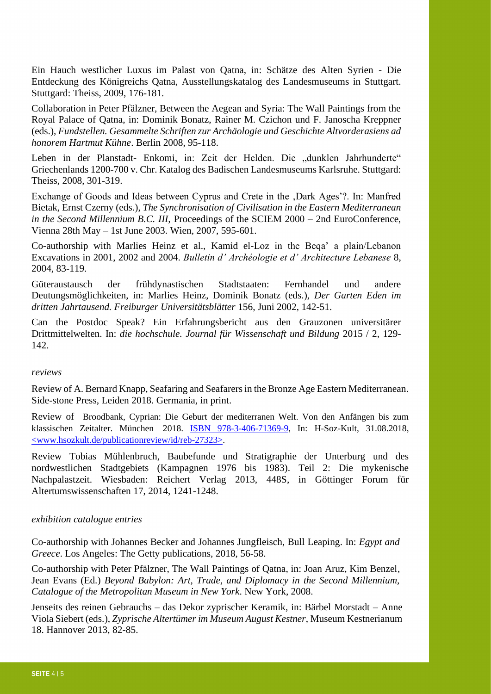Ein Hauch westlicher Luxus im Palast von Qatna, in: Schätze des Alten Syrien - Die Entdeckung des Königreichs Qatna, Ausstellungskatalog des Landesmuseums in Stuttgart. Stuttgard: Theiss, 2009, 176-181.

Collaboration in Peter Pfälzner, Between the Aegean and Syria: The Wall Paintings from the Royal Palace of Qatna, in: Dominik Bonatz, Rainer M. Czichon und F. Janoscha Kreppner (eds.), *Fundstellen. Gesammelte Schriften zur Archäologie und Geschichte Altvorderasiens ad honorem Hartmut Kühne*. Berlin 2008, 95-118.

Leben in der Planstadt- Enkomi, in: Zeit der Helden. Die "dunklen Jahrhunderte" Griechenlands 1200-700 v. Chr. Katalog des Badischen Landesmuseums Karlsruhe. Stuttgard: Theiss, 2008, 301-319.

Exchange of Goods and Ideas between Cyprus and Crete in the , Dark Ages'?. In: Manfred Bietak, Ernst Czerny (eds.), *The Synchronisation of Civilisation in the Eastern Mediterranean in the Second Millennium B.C. III,* Proceedings of the SCIEM 2000 – 2nd EuroConference, Vienna 28th May – 1st June 2003. Wien, 2007, 595-601.

Co-authorship with Marlies Heinz et al., Kamid el-Loz in the Beqa' a plain/Lebanon Excavations in 2001, 2002 and 2004. *Bulletin d' Archéologie et d' Architecture Lebanese* 8, 2004, 83-119.

Güteraustausch der frühdynastischen Stadtstaaten: Fernhandel und andere Deutungsmöglichkeiten, in: Marlies Heinz, Dominik Bonatz (eds.), *Der Garten Eden im dritten Jahrtausend. Freiburger Universitätsblätter* 156, Juni 2002, 142-51.

Can the Postdoc Speak? Ein Erfahrungsbericht aus den Grauzonen universitärer Drittmittelwelten. In: *die hochschule. Journal für Wissenschaft und Bildung* 2015 / 2, 129- 142.

#### *reviews*

Review of A. Bernard Knapp, Seafaring and Seafarers in the Bronze Age Eastern Mediterranean. Side-stone Press, Leiden 2018. Germania, in print.

Review of Broodbank, Cyprian: Die Geburt der mediterranen Welt. Von den Anfängen bis zum klassischen Zeitalter. München 2018. [ISBN 978-3-406-71369-9,](https://kvk.bibliothek.kit.edu/hylib-bin/kvk/nph-kvk2.cgi?maske=kvk-redesign&lang=de&title=KIT-Bibliothek%3A+Karlsruher+Virtueller+Katalog+KVK+%3A+Ergebnisanzeige&head=%2F%2Fkvk.bibliothek.kit.edu%2Fasset%2Fhtml%2Fhead.html&header=%2F%2Fkvk.bibliothek.kit.edu%2Fasset%2Fhtml%2Fheader.html&spacer=%2F%2Fkvk.bibliothek.kit.edu%2Fasset%2Fhtml%2Fspacer.html&footer=%2F%2Fkvk.bibliothek.kit.edu%2Fasset%2Fhtml%2Ffooter.html&css=none&input-charset=utf-8&ALL=&TI=&AU=&CI=&ST=&PY=&&SS=&PU=&VERBUENDE=&kataloge=SWB&kataloge=BVB&kataloge=NRW&kataloge=HEBIS&kataloge=HEBIS_RETRO&kataloge=KOBV_SOLR&kataloge=GBV&kataloge=DDB&kataloge=STABI_BERLIN&ref=direct&SB=978-3-406-71369-9) In: H-Soz-Kult, 31.08.2018, [<www.hsozkult.de/publicationreview/id/reb-27323>.](http://www.hsozkult.de/publicationreview/id/reb-27323)

Review Tobias Mühlenbruch, Baubefunde und Stratigraphie der Unterburg und des nordwestlichen Stadtgebiets (Kampagnen 1976 bis 1983). Teil 2: Die mykenische Nachpalastzeit. Wiesbaden: Reichert Verlag 2013, 448S, in Göttinger Forum für Altertumswissenschaften 17, 2014, 1241-1248.

#### *exhibition catalogue entries*

Co-authorship with Johannes Becker and Johannes Jungfleisch, Bull Leaping. In: *Egypt and Greece*. Los Angeles: The Getty publications, 2018, 56-58.

Co-authorship with Peter Pfälzner, The Wall Paintings of Qatna, in: Joan Aruz, Kim Benzel, Jean Evans (Ed.) *Beyond Babylon: Art, Trade, and Diplomacy in the Second Millennium, Catalogue of the Metropolitan Museum in New York*. New York, 2008.

Jenseits des reinen Gebrauchs – das Dekor zyprischer Keramik, in: Bärbel Morstadt – Anne Viola Siebert (eds.), *Zyprische Altertümer im Museum August Kestner*, Museum Kestnerianum 18. Hannover 2013, 82-85.